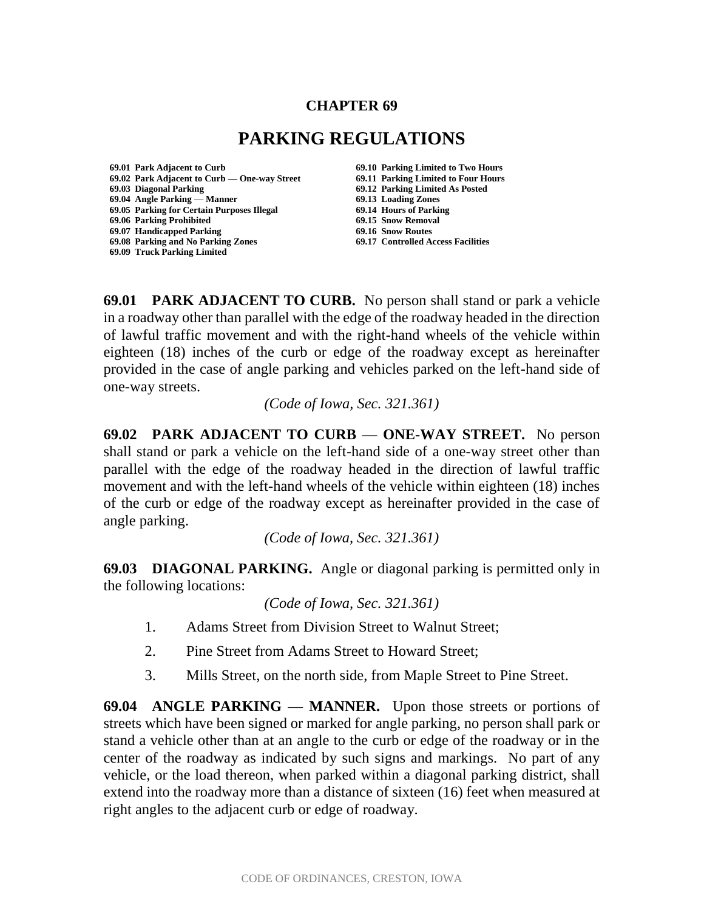#### **CHAPTER 69**

# **PARKING REGULATIONS**

**69.01 Park Adjacent to Curb 69.10 Parking Limited to Two Hours 69.02 Park Adjacent to Curb — One-way Street 69.11 Parking Limited to Four Hours 69.04 Angle Parking — Manner 69.13 Loading Zones 69.05 Parking for Certain Purposes Illegal 69.06 Parking Prohibited 69.15 Snow Removal 69.07 Handicapped Parking 69.16 Snow Routes 69.08 Parking and No Parking Zones 69.17 Controlled Access Facilities 69.09 Truck Parking Limited**

**69.03 Diagonal Parking 69.12 Parking Limited As Posted**

**69.01 PARK ADJACENT TO CURB.** No person shall stand or park a vehicle in a roadway other than parallel with the edge of the roadway headed in the direction of lawful traffic movement and with the right-hand wheels of the vehicle within eighteen (18) inches of the curb or edge of the roadway except as hereinafter provided in the case of angle parking and vehicles parked on the left-hand side of one-way streets.

*(Code of Iowa, Sec. 321.361)*

**69.02 PARK ADJACENT TO CURB — ONE-WAY STREET.** No person shall stand or park a vehicle on the left-hand side of a one-way street other than parallel with the edge of the roadway headed in the direction of lawful traffic movement and with the left-hand wheels of the vehicle within eighteen (18) inches of the curb or edge of the roadway except as hereinafter provided in the case of angle parking.

*(Code of Iowa, Sec. 321.361)*

**69.03 DIAGONAL PARKING.** Angle or diagonal parking is permitted only in the following locations:

*(Code of Iowa, Sec. 321.361)*

- 1. Adams Street from Division Street to Walnut Street;
- 2. Pine Street from Adams Street to Howard Street;
- 3. Mills Street, on the north side, from Maple Street to Pine Street.

**69.04 ANGLE PARKING — MANNER.** Upon those streets or portions of streets which have been signed or marked for angle parking, no person shall park or stand a vehicle other than at an angle to the curb or edge of the roadway or in the center of the roadway as indicated by such signs and markings. No part of any vehicle, or the load thereon, when parked within a diagonal parking district, shall extend into the roadway more than a distance of sixteen (16) feet when measured at right angles to the adjacent curb or edge of roadway.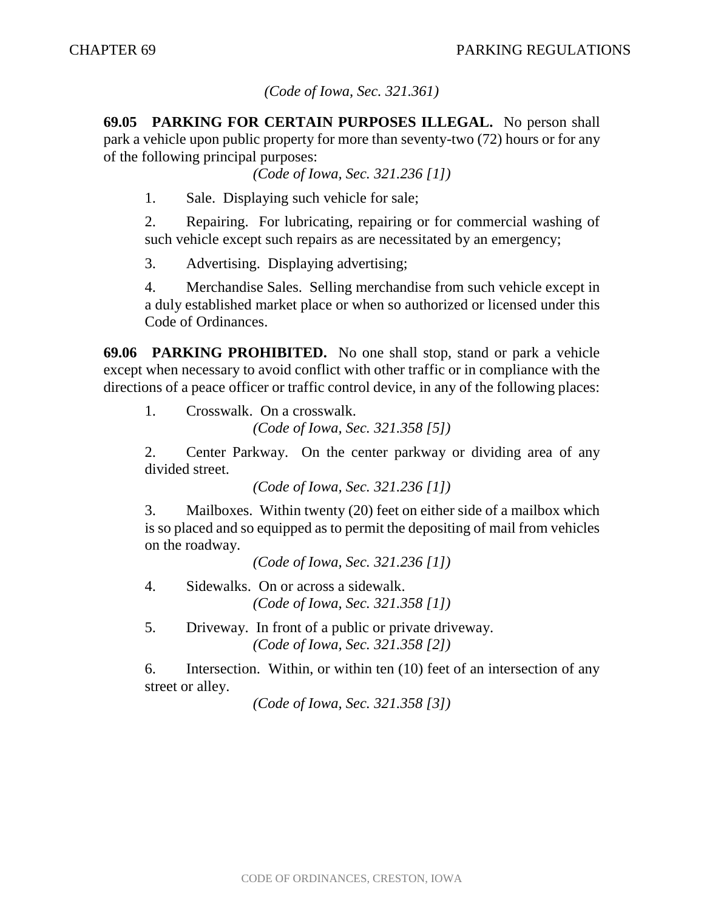### *(Code of Iowa, Sec. 321.361)*

**69.05 PARKING FOR CERTAIN PURPOSES ILLEGAL.** No person shall park a vehicle upon public property for more than seventy-two (72) hours or for any of the following principal purposes:

*(Code of Iowa, Sec. 321.236 [1])*

1. Sale. Displaying such vehicle for sale;

2. Repairing. For lubricating, repairing or for commercial washing of such vehicle except such repairs as are necessitated by an emergency;

3. Advertising. Displaying advertising;

4. Merchandise Sales. Selling merchandise from such vehicle except in a duly established market place or when so authorized or licensed under this Code of Ordinances.

**69.06 PARKING PROHIBITED.** No one shall stop, stand or park a vehicle except when necessary to avoid conflict with other traffic or in compliance with the directions of a peace officer or traffic control device, in any of the following places:

1. Crosswalk. On a crosswalk. *(Code of Iowa, Sec. 321.358 [5])*

2. Center Parkway. On the center parkway or dividing area of any divided street.

*(Code of Iowa, Sec. 321.236 [1])*

3. Mailboxes. Within twenty (20) feet on either side of a mailbox which is so placed and so equipped as to permit the depositing of mail from vehicles on the roadway.

*(Code of Iowa, Sec. 321.236 [1])*

4. Sidewalks. On or across a sidewalk. *(Code of Iowa, Sec. 321.358 [1])*

5. Driveway. In front of a public or private driveway. *(Code of Iowa, Sec. 321.358 [2])*

6. Intersection. Within, or within ten (10) feet of an intersection of any street or alley.

*(Code of Iowa, Sec. 321.358 [3])*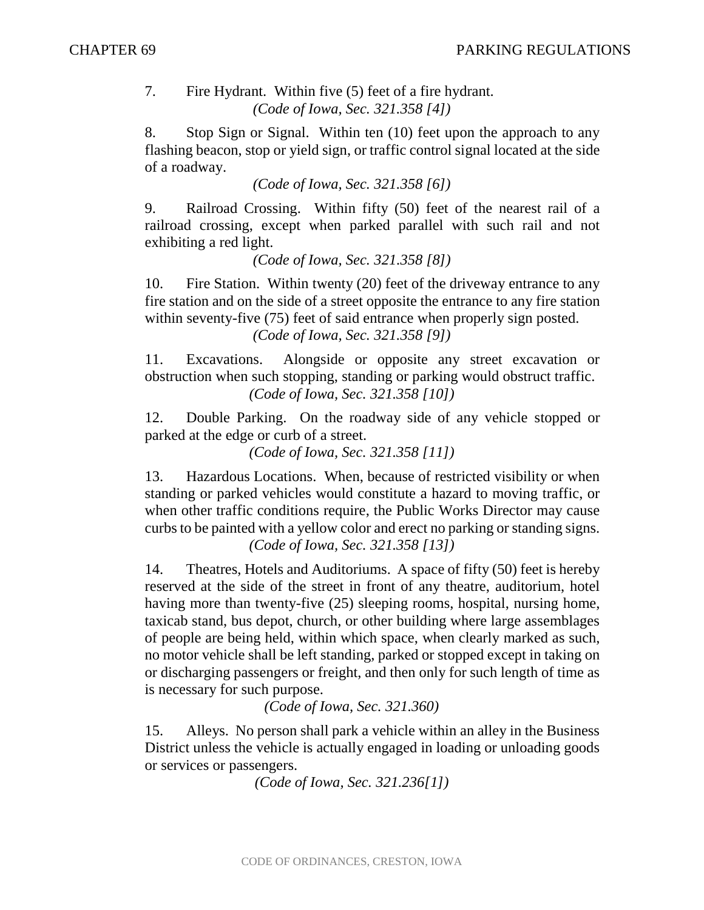#### 7. Fire Hydrant. Within five (5) feet of a fire hydrant. *(Code of Iowa, Sec. 321.358 [4])*

8. Stop Sign or Signal. Within ten (10) feet upon the approach to any flashing beacon, stop or yield sign, or traffic control signal located at the side of a roadway.

*(Code of Iowa, Sec. 321.358 [6])*

9. Railroad Crossing. Within fifty (50) feet of the nearest rail of a railroad crossing, except when parked parallel with such rail and not exhibiting a red light.

*(Code of Iowa, Sec. 321.358 [8])*

10. Fire Station. Within twenty (20) feet of the driveway entrance to any fire station and on the side of a street opposite the entrance to any fire station within seventy-five (75) feet of said entrance when properly sign posted. *(Code of Iowa, Sec. 321.358 [9])*

11. Excavations. Alongside or opposite any street excavation or obstruction when such stopping, standing or parking would obstruct traffic. *(Code of Iowa, Sec. 321.358 [10])*

12. Double Parking. On the roadway side of any vehicle stopped or parked at the edge or curb of a street.

*(Code of Iowa, Sec. 321.358 [11])*

13. Hazardous Locations. When, because of restricted visibility or when standing or parked vehicles would constitute a hazard to moving traffic, or when other traffic conditions require, the Public Works Director may cause curbs to be painted with a yellow color and erect no parking or standing signs. *(Code of Iowa, Sec. 321.358 [13])*

14. Theatres, Hotels and Auditoriums. A space of fifty (50) feet is hereby reserved at the side of the street in front of any theatre, auditorium, hotel having more than twenty-five (25) sleeping rooms, hospital, nursing home, taxicab stand, bus depot, church, or other building where large assemblages of people are being held, within which space, when clearly marked as such, no motor vehicle shall be left standing, parked or stopped except in taking on or discharging passengers or freight, and then only for such length of time as is necessary for such purpose.

*(Code of Iowa, Sec. 321.360)*

15. Alleys. No person shall park a vehicle within an alley in the Business District unless the vehicle is actually engaged in loading or unloading goods or services or passengers.

*(Code of Iowa, Sec. 321.236[1])*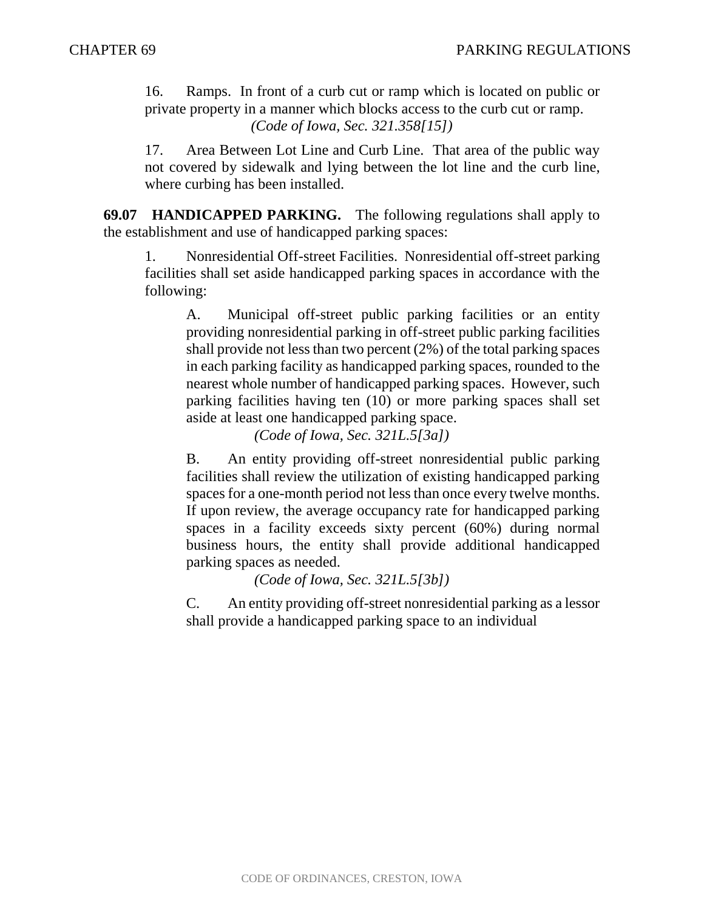16. Ramps. In front of a curb cut or ramp which is located on public or private property in a manner which blocks access to the curb cut or ramp. *(Code of Iowa, Sec. 321.358[15])*

17. Area Between Lot Line and Curb Line. That area of the public way not covered by sidewalk and lying between the lot line and the curb line, where curbing has been installed.

**69.07 HANDICAPPED PARKING.** The following regulations shall apply to the establishment and use of handicapped parking spaces:

1. Nonresidential Off-street Facilities. Nonresidential off-street parking facilities shall set aside handicapped parking spaces in accordance with the following:

A. Municipal off-street public parking facilities or an entity providing nonresidential parking in off-street public parking facilities shall provide not less than two percent (2%) of the total parking spaces in each parking facility as handicapped parking spaces, rounded to the nearest whole number of handicapped parking spaces. However, such parking facilities having ten (10) or more parking spaces shall set aside at least one handicapped parking space.

*(Code of Iowa, Sec. 321L.5[3a])*

B. An entity providing off-street nonresidential public parking facilities shall review the utilization of existing handicapped parking spaces for a one-month period not less than once every twelve months. If upon review, the average occupancy rate for handicapped parking spaces in a facility exceeds sixty percent (60%) during normal business hours, the entity shall provide additional handicapped parking spaces as needed.

*(Code of Iowa, Sec. 321L.5[3b])*

C. An entity providing off-street nonresidential parking as a lessor shall provide a handicapped parking space to an individual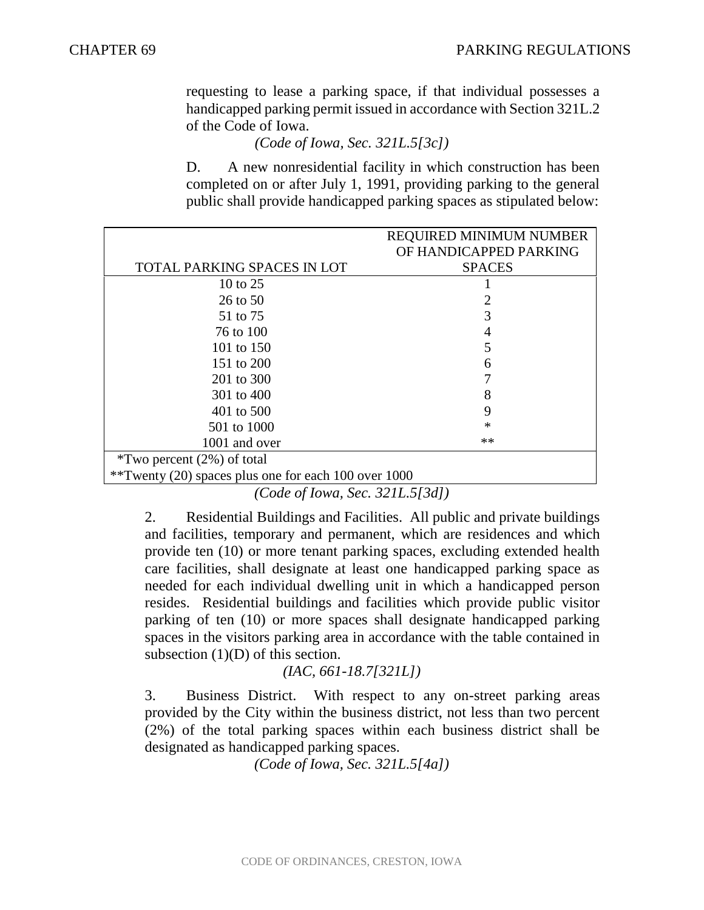requesting to lease a parking space, if that individual possesses a handicapped parking permit issued in accordance with Section 321L.2 of the Code of Iowa.

*(Code of Iowa, Sec. 321L.5[3c])*

D. A new nonresidential facility in which construction has been completed on or after July 1, 1991, providing parking to the general public shall provide handicapped parking spaces as stipulated below:

|                                                      | <b>REQUIRED MINIMUM NUMBER</b> |
|------------------------------------------------------|--------------------------------|
|                                                      | OF HANDICAPPED PARKING         |
| TOTAL PARKING SPACES IN LOT                          | <b>SPACES</b>                  |
| 10 to 25                                             |                                |
| 26 to 50                                             |                                |
| 51 to 75                                             |                                |
| 76 to 100                                            | 4                              |
| 101 to 150                                           |                                |
| 151 to 200                                           | 6                              |
| 201 to 300                                           |                                |
| 301 to 400                                           | 8                              |
| 401 to 500                                           | 9                              |
| 501 to 1000                                          | $\ast$                         |
| 1001 and over                                        | **                             |
| $*Two$ percent (2%) of total                         |                                |
| **Twenty (20) spaces plus one for each 100 over 1000 |                                |

*(Code of Iowa, Sec. 321L.5[3d])*

2. Residential Buildings and Facilities. All public and private buildings and facilities, temporary and permanent, which are residences and which provide ten (10) or more tenant parking spaces, excluding extended health care facilities, shall designate at least one handicapped parking space as needed for each individual dwelling unit in which a handicapped person resides. Residential buildings and facilities which provide public visitor parking of ten (10) or more spaces shall designate handicapped parking spaces in the visitors parking area in accordance with the table contained in subsection  $(1)(D)$  of this section.

## *(IAC, 661-18.7[321L])*

3. Business District. With respect to any on-street parking areas provided by the City within the business district, not less than two percent (2%) of the total parking spaces within each business district shall be designated as handicapped parking spaces.

*(Code of Iowa, Sec. 321L.5[4a])*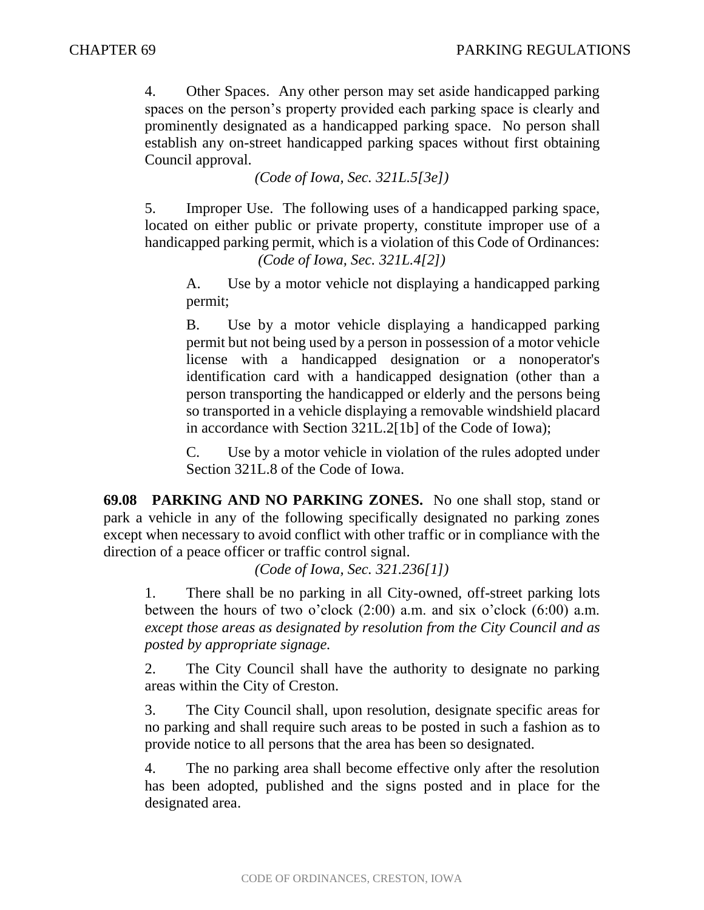4. Other Spaces. Any other person may set aside handicapped parking spaces on the person's property provided each parking space is clearly and prominently designated as a handicapped parking space. No person shall establish any on-street handicapped parking spaces without first obtaining Council approval.

*(Code of Iowa, Sec. 321L.5[3e])*

5. Improper Use. The following uses of a handicapped parking space, located on either public or private property, constitute improper use of a handicapped parking permit, which is a violation of this Code of Ordinances: *(Code of Iowa, Sec. 321L.4[2])*

A. Use by a motor vehicle not displaying a handicapped parking permit;

B. Use by a motor vehicle displaying a handicapped parking permit but not being used by a person in possession of a motor vehicle license with a handicapped designation or a nonoperator's identification card with a handicapped designation (other than a person transporting the handicapped or elderly and the persons being so transported in a vehicle displaying a removable windshield placard in accordance with Section 321L.2[1b] of the Code of Iowa);

C. Use by a motor vehicle in violation of the rules adopted under Section 321L.8 of the Code of Iowa.

**69.08 PARKING AND NO PARKING ZONES.** No one shall stop, stand or park a vehicle in any of the following specifically designated no parking zones except when necessary to avoid conflict with other traffic or in compliance with the direction of a peace officer or traffic control signal.

*(Code of Iowa, Sec. 321.236[1])*

1. There shall be no parking in all City-owned, off-street parking lots between the hours of two o'clock (2:00) a.m. and six o'clock (6:00) a.m. *except those areas as designated by resolution from the City Council and as posted by appropriate signage.*

2. The City Council shall have the authority to designate no parking areas within the City of Creston.

3. The City Council shall, upon resolution, designate specific areas for no parking and shall require such areas to be posted in such a fashion as to provide notice to all persons that the area has been so designated.

4. The no parking area shall become effective only after the resolution has been adopted, published and the signs posted and in place for the designated area.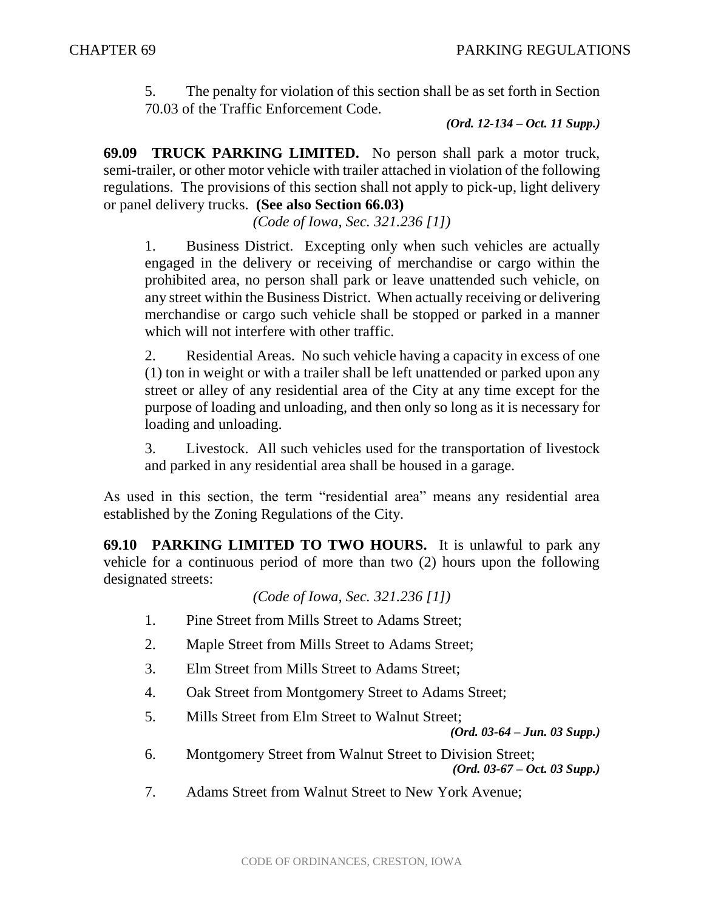5. The penalty for violation of this section shall be as set forth in Section 70.03 of the Traffic Enforcement Code.

*(Ord. 12-134 – Oct. 11 Supp.)*

**69.09 TRUCK PARKING LIMITED.** No person shall park a motor truck, semi-trailer, or other motor vehicle with trailer attached in violation of the following regulations. The provisions of this section shall not apply to pick-up, light delivery or panel delivery trucks. **(See also Section 66.03)**

*(Code of Iowa, Sec. 321.236 [1])*

1. Business District. Excepting only when such vehicles are actually engaged in the delivery or receiving of merchandise or cargo within the prohibited area, no person shall park or leave unattended such vehicle, on any street within the Business District. When actually receiving or delivering merchandise or cargo such vehicle shall be stopped or parked in a manner which will not interfere with other traffic.

2. Residential Areas. No such vehicle having a capacity in excess of one (1) ton in weight or with a trailer shall be left unattended or parked upon any street or alley of any residential area of the City at any time except for the purpose of loading and unloading, and then only so long as it is necessary for loading and unloading.

3. Livestock. All such vehicles used for the transportation of livestock and parked in any residential area shall be housed in a garage.

As used in this section, the term "residential area" means any residential area established by the Zoning Regulations of the City.

**69.10 PARKING LIMITED TO TWO HOURS.** It is unlawful to park any vehicle for a continuous period of more than two (2) hours upon the following designated streets:

*(Code of Iowa, Sec. 321.236 [1])*

- 1. Pine Street from Mills Street to Adams Street;
- 2. Maple Street from Mills Street to Adams Street;
- 3. Elm Street from Mills Street to Adams Street;
- 4. Oak Street from Montgomery Street to Adams Street;
- 5. Mills Street from Elm Street to Walnut Street;

*(Ord. 03-64 – Jun. 03 Supp.)*

6. Montgomery Street from Walnut Street to Division Street;

*(Ord. 03-67 – Oct. 03 Supp.)*

7. Adams Street from Walnut Street to New York Avenue;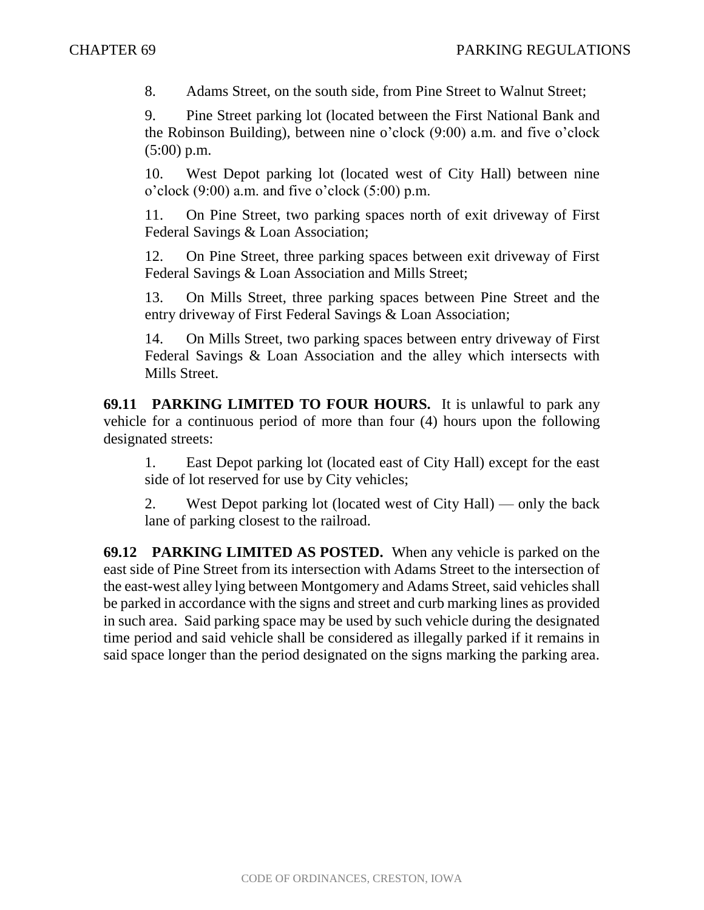8. Adams Street, on the south side, from Pine Street to Walnut Street;

9. Pine Street parking lot (located between the First National Bank and the Robinson Building), between nine o'clock (9:00) a.m. and five o'clock (5:00) p.m.

10. West Depot parking lot (located west of City Hall) between nine o'clock  $(9:00)$  a.m. and five o'clock  $(5:00)$  p.m.

11. On Pine Street, two parking spaces north of exit driveway of First Federal Savings & Loan Association;

12. On Pine Street, three parking spaces between exit driveway of First Federal Savings & Loan Association and Mills Street;

13. On Mills Street, three parking spaces between Pine Street and the entry driveway of First Federal Savings & Loan Association;

14. On Mills Street, two parking spaces between entry driveway of First Federal Savings & Loan Association and the alley which intersects with Mills Street.

**69.11 PARKING LIMITED TO FOUR HOURS.** It is unlawful to park any vehicle for a continuous period of more than four (4) hours upon the following designated streets:

1. East Depot parking lot (located east of City Hall) except for the east side of lot reserved for use by City vehicles;

2. West Depot parking lot (located west of City Hall) — only the back lane of parking closest to the railroad.

**69.12 PARKING LIMITED AS POSTED.** When any vehicle is parked on the east side of Pine Street from its intersection with Adams Street to the intersection of the east-west alley lying between Montgomery and Adams Street, said vehicles shall be parked in accordance with the signs and street and curb marking lines as provided in such area. Said parking space may be used by such vehicle during the designated time period and said vehicle shall be considered as illegally parked if it remains in said space longer than the period designated on the signs marking the parking area.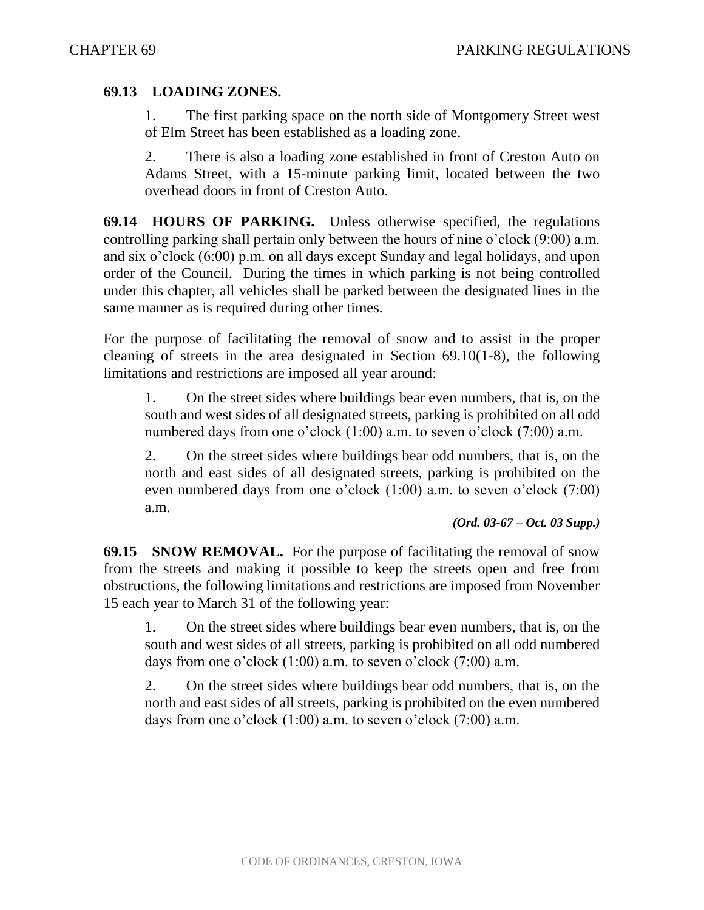#### **69.13 LOADING ZONES.**

1. The first parking space on the north side of Montgomery Street west of Elm Street has been established as a loading zone.

2. There is also a loading zone established in front of Creston Auto on Adams Street, with a 15-minute parking limit, located between the two overhead doors in front of Creston Auto.

**69.14 HOURS OF PARKING.** Unless otherwise specified, the regulations controlling parking shall pertain only between the hours of nine o'clock (9:00) a.m. and six o'clock (6:00) p.m. on all days except Sunday and legal holidays, and upon order of the Council. During the times in which parking is not being controlled under this chapter, all vehicles shall be parked between the designated lines in the same manner as is required during other times.

For the purpose of facilitating the removal of snow and to assist in the proper cleaning of streets in the area designated in Section 69.10(1-8), the following limitations and restrictions are imposed all year around:

1. On the street sides where buildings bear even numbers, that is, on the south and west sides of all designated streets, parking is prohibited on all odd numbered days from one o'clock (1:00) a.m. to seven o'clock (7:00) a.m.

2. On the street sides where buildings bear odd numbers, that is, on the north and east sides of all designated streets, parking is prohibited on the even numbered days from one o'clock (1:00) a.m. to seven o'clock (7:00) a.m.

*(Ord. 03-67 – Oct. 03 Supp.)*

**69.15 SNOW REMOVAL.** For the purpose of facilitating the removal of snow from the streets and making it possible to keep the streets open and free from obstructions, the following limitations and restrictions are imposed from November 15 each year to March 31 of the following year:

1. On the street sides where buildings bear even numbers, that is, on the south and west sides of all streets, parking is prohibited on all odd numbered days from one o'clock  $(1:00)$  a.m. to seven o'clock  $(7:00)$  a.m.

2. On the street sides where buildings bear odd numbers, that is, on the north and east sides of all streets, parking is prohibited on the even numbered days from one o'clock  $(1:00)$  a.m. to seven o'clock  $(7:00)$  a.m.